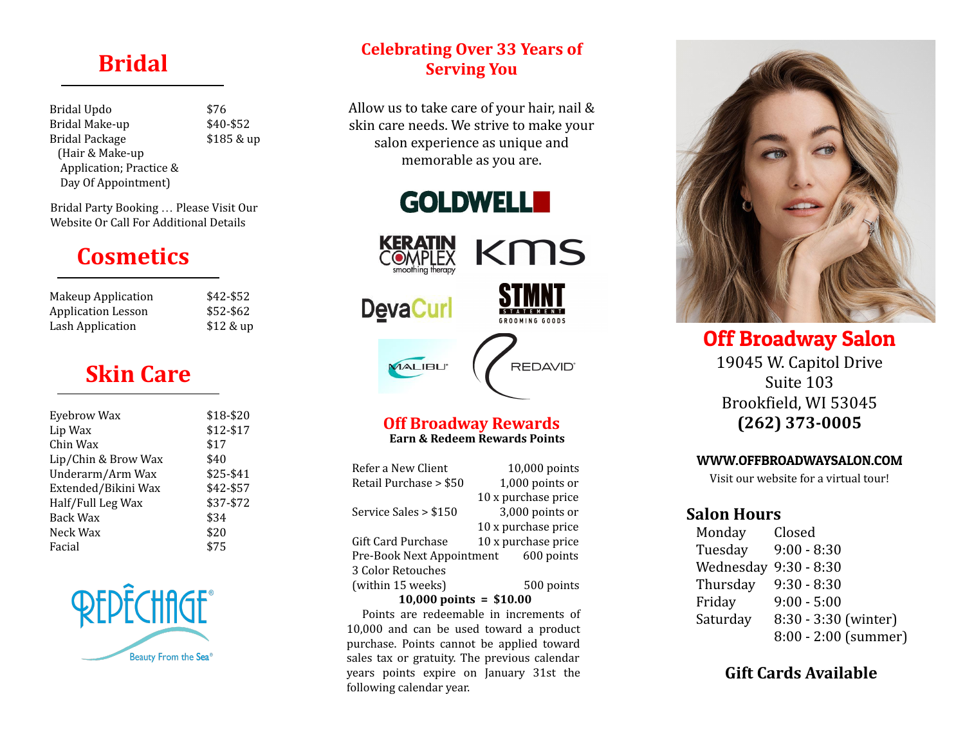## **Bridal**

Bridal Updo Bridal Make-up Bridal Package (Hair & Make-up Application; Practice & Day Of Appointment)

\$76 \$40-\$52 \$185 & up

### Bridal Party Booking … Please Visit Our Website Or Call For Additional Details

# **Cosmetics**

| Makeup Application | \$42-\$52  |
|--------------------|------------|
| Application Lesson | \$52-\$62  |
| Lash Application   | $$12$ & up |

# **Skin Care**

| Eyebrow Wax         | \$18-\$20 |
|---------------------|-----------|
| Lip Wax             | \$12-\$17 |
| Chin Wax            | \$17      |
| Lip/Chin & Brow Wax | \$40      |
| Underarm/Arm Wax    | $$25-$41$ |
| Extended/Bikini Wax | \$42-\$57 |
| Half/Full Leg Wax   | \$37-\$72 |
| Back Wax            | \$34      |
| Neck Wax            | \$20      |
| Facial              | \$75      |
|                     |           |



## **Celebrating Over 33 Years of Serving You**

Allow us to take care of your hair, nail & skin care needs. We strive to make your salon experience as unique and memorable as you are.





### **Off Broadway Rewards Earn & Redeem Rewards Points**

| Refer a New Client        | 10,000 points       |  |
|---------------------------|---------------------|--|
| Retail Purchase > \$50    | 1,000 points or     |  |
|                           | 10 x purchase price |  |
| Service Sales > \$150     | 3,000 points or     |  |
|                           | 10 x purchase price |  |
| Gift Card Purchase        | 10 x purchase price |  |
| Pre-Book Next Appointment | 600 points          |  |
| 3 Color Retouches         |                     |  |
| (within 15 weeks)         | 500 points          |  |

#### **10,000 points = \$10.00**

 Points are redeemable in increments of 10,000 and can be used toward a product purchase. Points cannot be applied toward sales tax or gratuity. The previous calendar years points expire on January 31st the following calendar year.



Off Broadway Salon 19045 W. Capitol Drive Suite 103 Brookfield, WI 53045 **(262) 373-0005**

#### WWW.OFFBROADWAYSALON.COM

Visit our website for a virtual tour!

## **Salon Hours**

 Monday Closed Tuesday 9:00 - 8:30 Wednesday 9:30 - 8:30 Thursday 9:30 - 8:30 Friday 9:00 - 5:00 Saturday 8:30 - 3:30 (winter) 8:00 - 2:00 (summer)

## **Gift Cards Available**